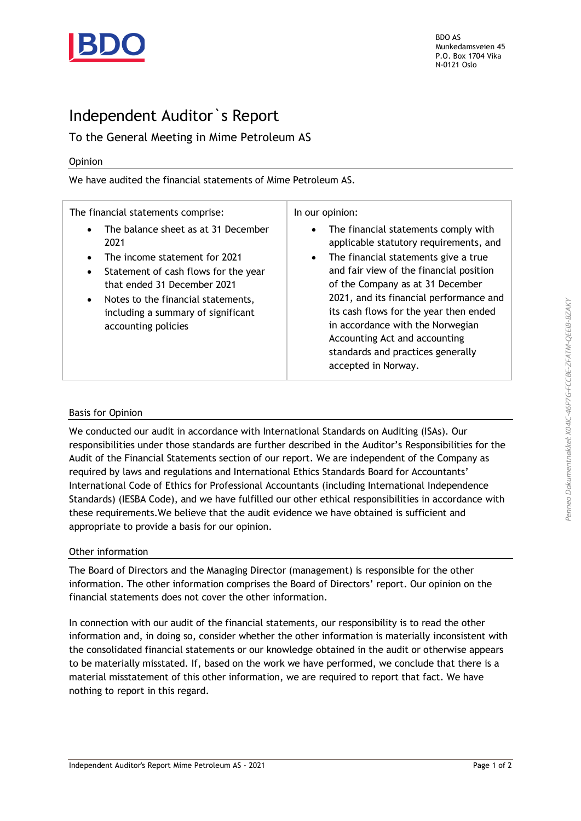

BDO AS Munkedamsveien 45 P.O. Box 1704 Vika N-0121 Oslo

## Independent Auditor`s Report

### To the General Meeting in Mime Petroleum AS

#### Opinion

We have audited the financial statements of Mime Petroleum AS.

The financial statements comprise:

- The balance sheet as at 31 December 2021
- The income statement for 2021
- Statement of cash flows for the year that ended 31 December 2021
- Notes to the financial statements, including a summary of significant accounting policies

In our opinion:

- The financial statements comply with applicable statutory requirements, and
- The financial statements give a true and fair view of the financial position of the Company as at 31 December 2021, and its financial performance and its cash flows for the year then ended in accordance with the Norwegian Accounting Act and accounting standards and practices generally accepted in Norway.

#### Basis for Opinion

We conducted our audit in accordance with International Standards on Auditing (ISAs). Our responsibilities under those standards are further described in the Auditor's Responsibilities for the Audit of the Financial Statements section of our report. We are independent of the Company as required by laws and regulations and International Ethics Standards Board for Accountants' International Code of Ethics for Professional Accountants (including International Independence Standards) (IESBA Code), and we have fulfilled our other ethical responsibilities in accordance with these requirements.We believe that the audit evidence we have obtained is sufficient and appropriate to provide a basis for our opinion.

#### Other information

The Board of Directors and the Managing Director (management) is responsible for the other information. The other information comprises the Board of Directors' report. Our opinion on the financial statements does not cover the other information.

In connection with our audit of the financial statements, our responsibility is to read the other information and, in doing so, consider whether the other information is materially inconsistent with the consolidated financial statements or our knowledge obtained in the audit or otherwise appears to be materially misstated. If, based on the work we have performed, we conclude that there is a material misstatement of this other information, we are required to report that fact. We have nothing to report in this regard.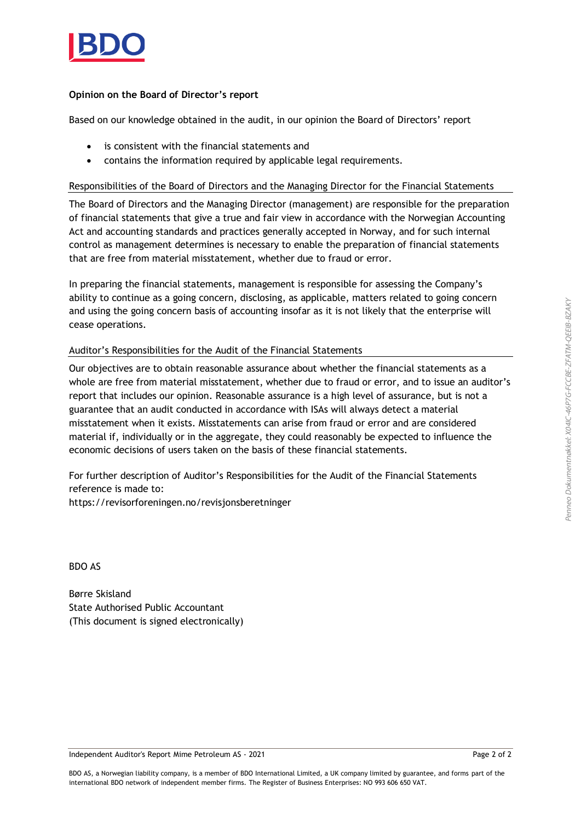

#### **Opinion on the Board of Director's report**

Based on our knowledge obtained in the audit, in our opinion the Board of Directors' report

- is consistent with the financial statements and
- contains the information required by applicable legal requirements.

#### Responsibilities of the Board of Directors and the Managing Director for the Financial Statements

The Board of Directors and the Managing Director (management) are responsible for the preparation of financial statements that give a true and fair view in accordance with the Norwegian Accounting Act and accounting standards and practices generally accepted in Norway, and for such internal control as management determines is necessary to enable the preparation of financial statements that are free from material misstatement, whether due to fraud or error.

In preparing the financial statements, management is responsible for assessing the Company's ability to continue as a going concern, disclosing, as applicable, matters related to going concern and using the going concern basis of accounting insofar as it is not likely that the enterprise will cease operations.

#### Auditor's Responsibilities for the Audit of the Financial Statements

Our objectives are to obtain reasonable assurance about whether the financial statements as a whole are free from material misstatement, whether due to fraud or error, and to issue an auditor's report that includes our opinion. Reasonable assurance is a high level of assurance, but is not a guarantee that an audit conducted in accordance with ISAs will always detect a material misstatement when it exists. Misstatements can arise from fraud or error and are considered material if, individually or in the aggregate, they could reasonably be expected to influence the economic decisions of users taken on the basis of these financial statements.

For further description of Auditor's Responsibilities for the Audit of the Financial Statements reference is made to:

https://revisorforeningen.no/revisjonsberetninger

BDO AS

Børre Skisland State Authorised Public Accountant (This document is signed electronically)

Independent Auditor's Report Mime Petroleum AS - 2021 Page 2 of 2